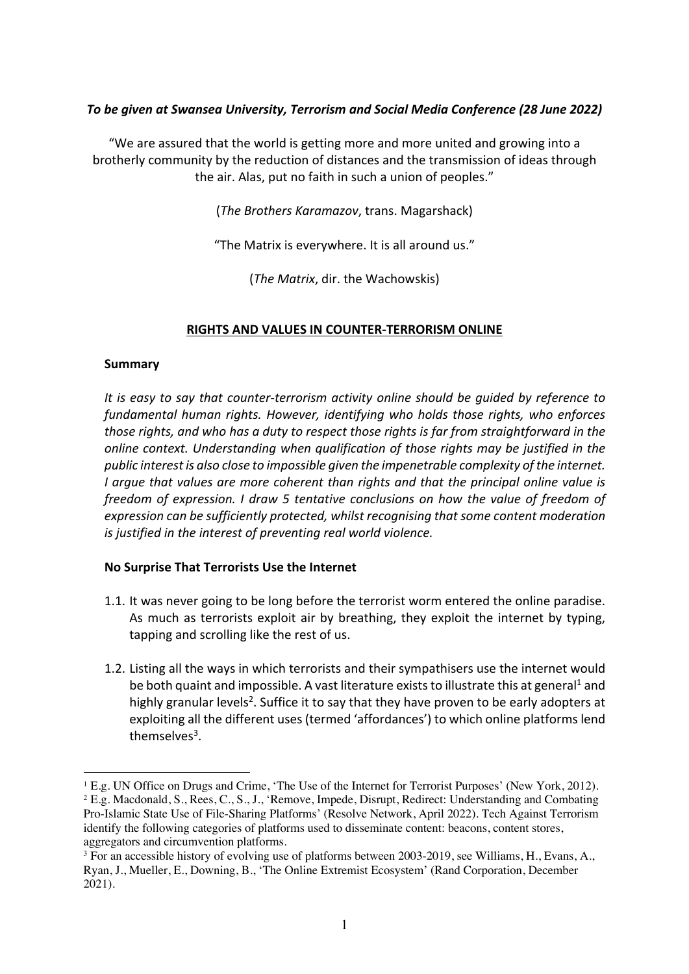# *To be given at Swansea University, Terrorism and Social Media Conference (28 June 2022)*

"We are assured that the world is getting more and more united and growing into a brotherly community by the reduction of distances and the transmission of ideas through the air. Alas, put no faith in such a union of peoples."

(*The Brothers Karamazov*, trans. Magarshack)

"The Matrix is everywhere. It is all around us."

(*The Matrix*, dir. the Wachowskis)

### **RIGHTS AND VALUES IN COUNTER-TERRORISM ONLINE**

### **Summary**

*It is easy to say that counter-terrorism activity online should be guided by reference to fundamental human rights. However, identifying who holds those rights, who enforces those rights, and who has a duty to respect those rights is far from straightforward in the online context. Understanding when qualification of those rights may be justified in the public interest is also close to impossible given the impenetrable complexity of the internet. I argue that values are more coherent than rights and that the principal online value is freedom of expression. I draw 5 tentative conclusions on how the value of freedom of expression can be sufficiently protected, whilst recognising that some content moderation is justified in the interest of preventing real world violence.* 

# **No Surprise That Terrorists Use the Internet**

- 1.1. It was never going to be long before the terrorist worm entered the online paradise. As much as terrorists exploit air by breathing, they exploit the internet by typing, tapping and scrolling like the rest of us.
- 1.2. Listing all the ways in which terrorists and their sympathisers use the internet would be both quaint and impossible. A vast literature exists to illustrate this at general<sup>1</sup> and highly granular levels<sup>2</sup>. Suffice it to say that they have proven to be early adopters at exploiting all the different uses (termed 'affordances') to which online platforms lend themselves<sup>3</sup>.

 $1 E.g.$  UN Office on Drugs and Crime, 'The Use of the Internet for Terrorist Purposes' (New York, 2012). <sup>2</sup> E.g. Macdonald, S., Rees, C., S., J., 'Remove, Impede, Disrupt, Redirect: Understanding and Combating Pro-Islamic State Use of File-Sharing Platforms' (Resolve Network, April 2022). Tech Against Terrorism identify the following categories of platforms used to disseminate content: beacons, content stores, aggregators and circumvention platforms.<br><sup>3</sup> For an accessible history of evolving use of platforms between 2003-2019, see Williams, H., Evans, A.,

Ryan, J., Mueller, E., Downing, B., 'The Online Extremist Ecosystem' (Rand Corporation, December 2021).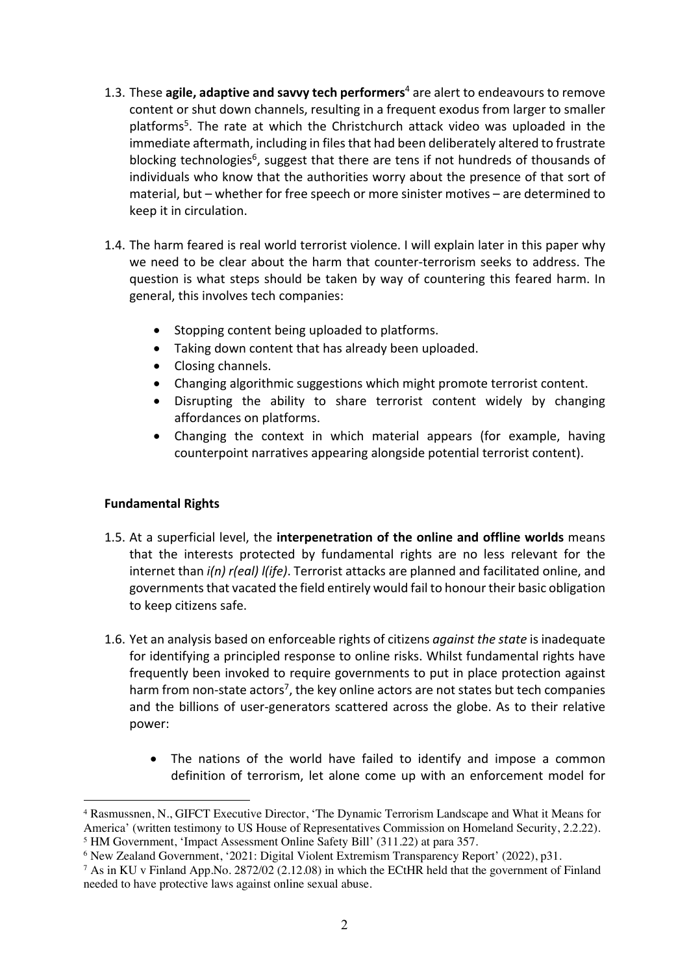- 1.3. These **agile, adaptive and savvy tech performers**<sup>4</sup> are alert to endeavours to remove content or shut down channels, resulting in a frequent exodus from larger to smaller platforms<sup>5</sup>. The rate at which the Christchurch attack video was uploaded in the immediate aftermath, including in files that had been deliberately altered to frustrate blocking technologies<sup>6</sup>, suggest that there are tens if not hundreds of thousands of individuals who know that the authorities worry about the presence of that sort of material, but – whether for free speech or more sinister motives – are determined to keep it in circulation.
- 1.4. The harm feared is real world terrorist violence. I will explain later in this paper why we need to be clear about the harm that counter-terrorism seeks to address. The question is what steps should be taken by way of countering this feared harm. In general, this involves tech companies:
	- Stopping content being uploaded to platforms.
	- Taking down content that has already been uploaded.
	- Closing channels.
	- Changing algorithmic suggestions which might promote terrorist content.
	- Disrupting the ability to share terrorist content widely by changing affordances on platforms.
	- Changing the context in which material appears (for example, having counterpoint narratives appearing alongside potential terrorist content).

# **Fundamental Rights**

- 1.5. At a superficial level, the **interpenetration of the online and offline worlds** means that the interests protected by fundamental rights are no less relevant for the internet than *i(n) r(eal) l(ife)*. Terrorist attacks are planned and facilitated online, and governments that vacated the field entirely would fail to honour their basic obligation to keep citizens safe.
- 1.6. Yet an analysis based on enforceable rights of citizens *against the state* is inadequate for identifying a principled response to online risks. Whilst fundamental rights have frequently been invoked to require governments to put in place protection against harm from non-state actors<sup>7</sup>, the key online actors are not states but tech companies and the billions of user-generators scattered across the globe. As to their relative power:
	- The nations of the world have failed to identify and impose a common definition of terrorism, let alone come up with an enforcement model for

<sup>4</sup> Rasmussnen, N., GIFCT Executive Director, 'The Dynamic Terrorism Landscape and What it Means for America' (written testimony to US House of Representatives Commission on Homeland Security, 2.2.22).

<sup>&</sup>lt;sup>5</sup> HM Government, 'Impact Assessment Online Safety Bill' (311.22) at para 357.<br><sup>6</sup> New Zealand Government, '2021: Digital Violent Extremism Transparency Report' (2022), p31.

<sup>&</sup>lt;sup>7</sup> As in KU v Finland App.No. 2872/02 (2.12.08) in which the ECtHR held that the government of Finland needed to have protective laws against online sexual abuse.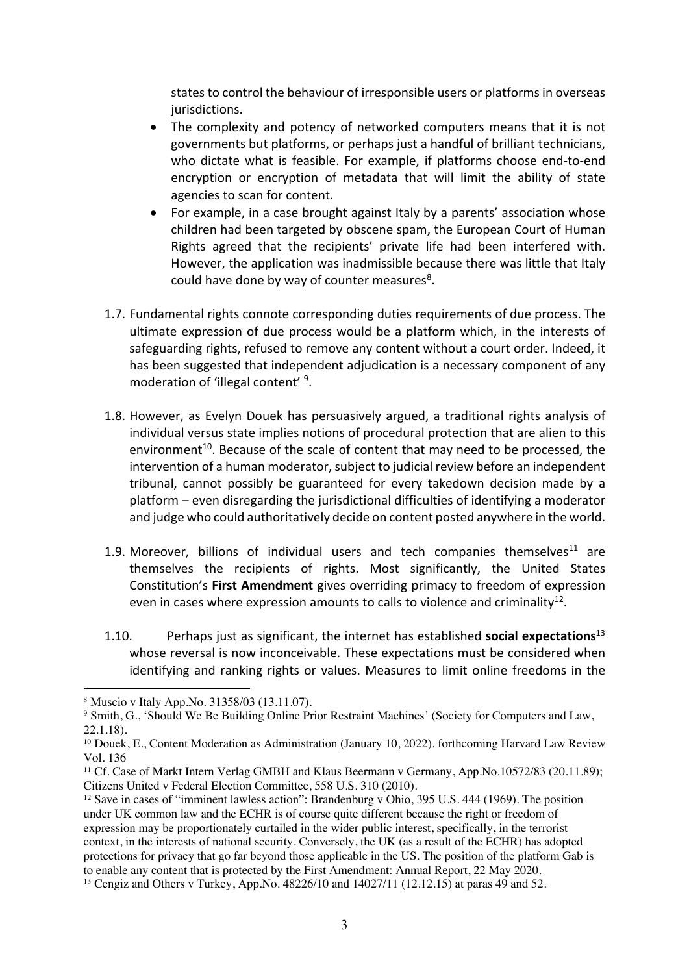states to control the behaviour of irresponsible users or platforms in overseas jurisdictions.

- The complexity and potency of networked computers means that it is not governments but platforms, or perhaps just a handful of brilliant technicians, who dictate what is feasible. For example, if platforms choose end-to-end encryption or encryption of metadata that will limit the ability of state agencies to scan for content.
- For example, in a case brought against Italy by a parents' association whose children had been targeted by obscene spam, the European Court of Human Rights agreed that the recipients' private life had been interfered with. However, the application was inadmissible because there was little that Italy could have done by way of counter measures<sup>8</sup>.
- 1.7. Fundamental rights connote corresponding duties requirements of due process. The ultimate expression of due process would be a platform which, in the interests of safeguarding rights, refused to remove any content without a court order. Indeed, it has been suggested that independent adjudication is a necessary component of any moderation of 'illegal content' 9.
- 1.8. However, as Evelyn Douek has persuasively argued, a traditional rights analysis of individual versus state implies notions of procedural protection that are alien to this environment<sup>10</sup>. Because of the scale of content that may need to be processed, the intervention of a human moderator, subject to judicial review before an independent tribunal, cannot possibly be guaranteed for every takedown decision made by a platform – even disregarding the jurisdictional difficulties of identifying a moderator and judge who could authoritatively decide on content posted anywhere in the world.
- 1.9. Moreover, billions of individual users and tech companies themselves<sup>11</sup> are themselves the recipients of rights. Most significantly, the United States Constitution's **First Amendment** gives overriding primacy to freedom of expression even in cases where expression amounts to calls to violence and criminality<sup>12</sup>.
- 1.10. Perhaps just as significant, the internet has established **social expectations**<sup>13</sup> whose reversal is now inconceivable. These expectations must be considered when identifying and ranking rights or values. Measures to limit online freedoms in the

<sup>8</sup> Muscio v Italy App.No. 31358/03 (13.11.07).

<sup>9</sup> Smith, G., 'Should We Be Building Online Prior Restraint Machines' (Society for Computers and Law, 22.1.18).

<sup>&</sup>lt;sup>10</sup> Douek, E., Content Moderation as Administration (January 10, 2022). forthcoming Harvard Law Review Vol. 136

<sup>11</sup> Cf. Case of Markt Intern Verlag GMBH and Klaus Beermann v Germany, App.No.10572/83 (20.11.89); Citizens United v Federal Election Committee, 558 U.S. 310 (2010).

<sup>&</sup>lt;sup>12</sup> Save in cases of "imminent lawless action": Brandenburg v Ohio, 395 U.S. 444 (1969). The position under UK common law and the ECHR is of course quite different because the right or freedom of expression may be proportionately curtailed in the wider public interest, specifically, in the terrorist context, in the interests of national security. Conversely, the UK (as a result of the ECHR) has adopted protections for privacy that go far beyond those applicable in the US. The position of the platform Gab is to enable any content that is protected by the First Amendment: Annual Report, 22 May 2020.

<sup>13</sup> Cengiz and Others v Turkey, App.No. 48226/10 and 14027/11 (12.12.15) at paras 49 and 52.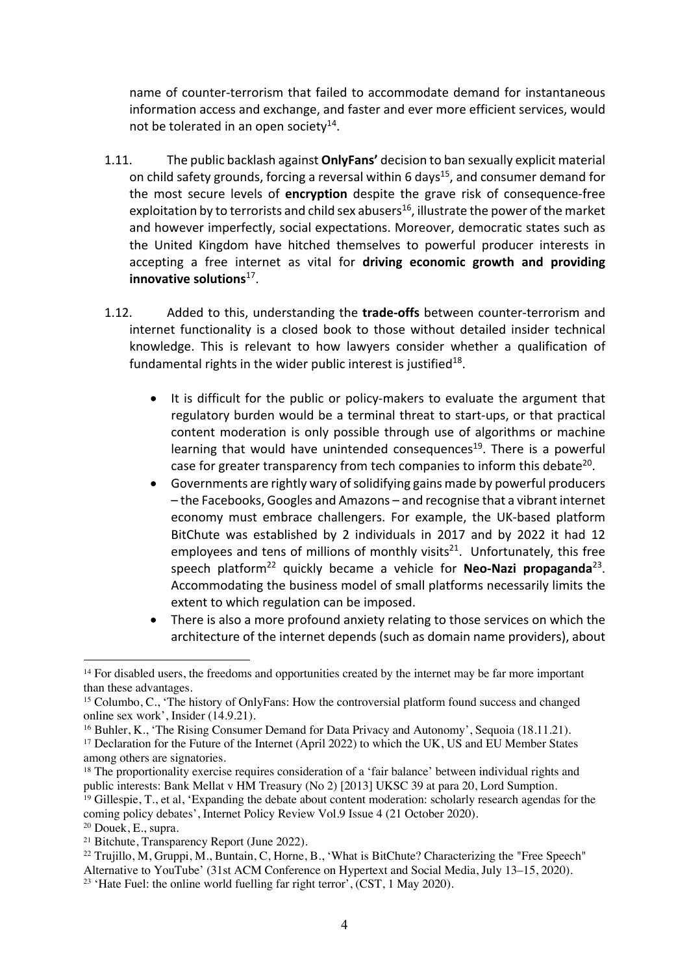name of counter-terrorism that failed to accommodate demand for instantaneous information access and exchange, and faster and ever more efficient services, would not be tolerated in an open society $14$ .

- 1.11. The public backlash against **OnlyFans'** decision to ban sexually explicit material on child safety grounds, forcing a reversal within 6 days<sup>15</sup>, and consumer demand for the most secure levels of **encryption** despite the grave risk of consequence-free exploitation by to terrorists and child sex abusers<sup>16</sup>, illustrate the power of the market and however imperfectly, social expectations. Moreover, democratic states such as the United Kingdom have hitched themselves to powerful producer interests in accepting a free internet as vital for **driving economic growth and providing innovative solutions**17.
- 1.12. Added to this, understanding the **trade-offs** between counter-terrorism and internet functionality is a closed book to those without detailed insider technical knowledge. This is relevant to how lawyers consider whether a qualification of fundamental rights in the wider public interest is justified $18$ .
	- It is difficult for the public or policy-makers to evaluate the argument that regulatory burden would be a terminal threat to start-ups, or that practical content moderation is only possible through use of algorithms or machine learning that would have unintended consequences<sup>19</sup>. There is a powerful case for greater transparency from tech companies to inform this debate<sup>20</sup>.
	- Governments are rightly wary of solidifying gains made by powerful producers – the Facebooks, Googles and Amazons – and recognise that a vibrant internet economy must embrace challengers. For example, the UK-based platform BitChute was established by 2 individuals in 2017 and by 2022 it had 12 employees and tens of millions of monthly visits<sup>21</sup>. Unfortunately, this free speech platform<sup>22</sup> quickly became a vehicle for **Neo-Nazi propaganda**<sup>23</sup>. Accommodating the business model of small platforms necessarily limits the extent to which regulation can be imposed.
	- There is also a more profound anxiety relating to those services on which the architecture of the internet depends (such as domain name providers), about

<sup>&</sup>lt;sup>14</sup> For disabled users, the freedoms and opportunities created by the internet may be far more important than these advantages.

<sup>&</sup>lt;sup>15</sup> Columbo, C., 'The history of OnlyFans: How the controversial platform found success and changed online sex work', Insider (14.9.21).

<sup>&</sup>lt;sup>16</sup> Buhler, K., 'The Rising Consumer Demand for Data Privacy and Autonomy', Sequoia (18.11.21).

<sup>&</sup>lt;sup>17</sup> Declaration for the Future of the Internet (April 2022) to which the UK, US and EU Member States among others are signatories.

<sup>&</sup>lt;sup>18</sup> The proportionality exercise requires consideration of a 'fair balance' between individual rights and public interests: Bank Mellat v HM Treasury (No 2) [2013] UKSC 39 at para 20, Lord Sumption.

<sup>&</sup>lt;sup>19</sup> Gillespie, T., et al, 'Expanding the debate about content moderation: scholarly research agendas for the coming policy debates', Internet Policy Review Vol.9 Issue 4 (21 October 2020).

<sup>&</sup>lt;sup>20</sup> Douek, E., supra.<br><sup>21</sup> Bitchute, Transparency Report (June 2022).

<sup>&</sup>lt;sup>22</sup> Trujillo, M, Gruppi, M., Buntain, C, Horne, B., 'What is BitChute? Characterizing the "Free Speech" Alternative to YouTube' (31st ACM Conference on Hypertext and Social Media, July 13–15, 2020).<br><sup>23</sup> 'Hate Fuel: the online world fuelling far right terror', (CST, 1 May 2020).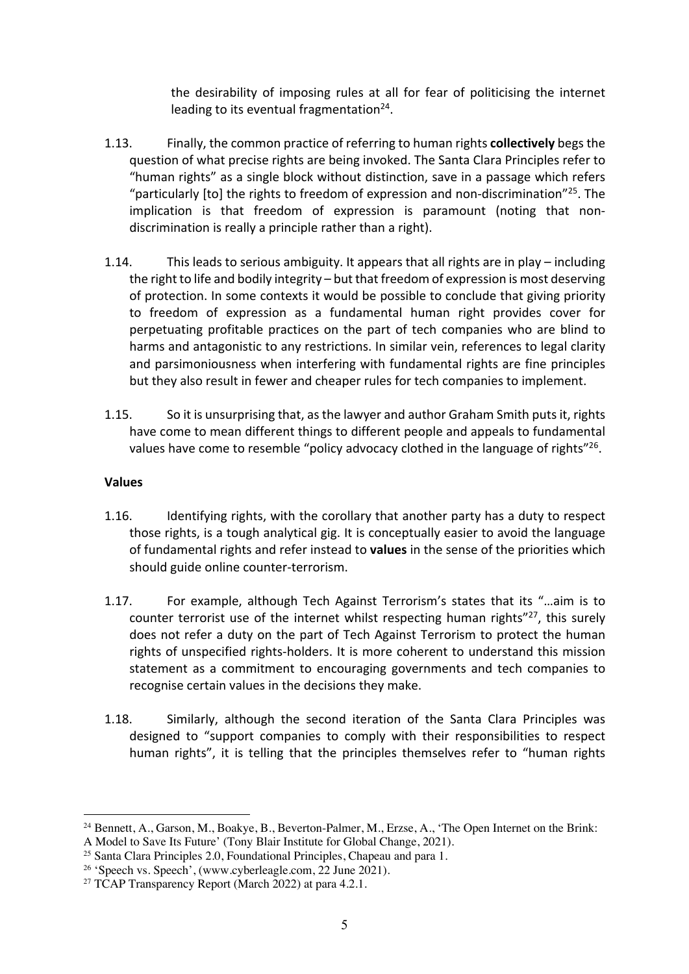the desirability of imposing rules at all for fear of politicising the internet leading to its eventual fragmentation $24$ .

- 1.13. Finally, the common practice of referring to human rights **collectively** begs the question of what precise rights are being invoked. The Santa Clara Principles refer to "human rights" as a single block without distinction, save in a passage which refers "particularly [to] the rights to freedom of expression and non-discrimination"<sup>25</sup>. The implication is that freedom of expression is paramount (noting that nondiscrimination is really a principle rather than a right).
- 1.14. This leads to serious ambiguity. It appears that all rights are in play including the right to life and bodily integrity – but that freedom of expression is most deserving of protection. In some contexts it would be possible to conclude that giving priority to freedom of expression as a fundamental human right provides cover for perpetuating profitable practices on the part of tech companies who are blind to harms and antagonistic to any restrictions. In similar vein, references to legal clarity and parsimoniousness when interfering with fundamental rights are fine principles but they also result in fewer and cheaper rules for tech companies to implement.
- 1.15. So it is unsurprising that, as the lawyer and author Graham Smith puts it, rights have come to mean different things to different people and appeals to fundamental values have come to resemble "policy advocacy clothed in the language of rights"<sup>26</sup>.

# **Values**

- 1.16. Identifying rights, with the corollary that another party has a duty to respect those rights, is a tough analytical gig. It is conceptually easier to avoid the language of fundamental rights and refer instead to **values** in the sense of the priorities which should guide online counter-terrorism.
- 1.17. For example, although Tech Against Terrorism's states that its "…aim is to counter terrorist use of the internet whilst respecting human rights" $27$ , this surely does not refer a duty on the part of Tech Against Terrorism to protect the human rights of unspecified rights-holders. It is more coherent to understand this mission statement as a commitment to encouraging governments and tech companies to recognise certain values in the decisions they make.
- 1.18. Similarly, although the second iteration of the Santa Clara Principles was designed to "support companies to comply with their responsibilities to respect human rights", it is telling that the principles themselves refer to "human rights

<sup>24</sup> Bennett, A., Garson, M., Boakye, B., Beverton-Palmer, M., Erzse, A., 'The Open Internet on the Brink: A Model to Save Its Future' (Tony Blair Institute for Global Change, 2021).<br><sup>25</sup> Santa Clara Principles 2.0. Foundational Principles. Chapeau and para 1.

<sup>&</sup>lt;sup>26</sup> 'Speech vs. Speech', (www.cyberleagle.com, 22 June 2021). <sup>27</sup> TCAP Transparency Report (March 2022) at para 4.2.1.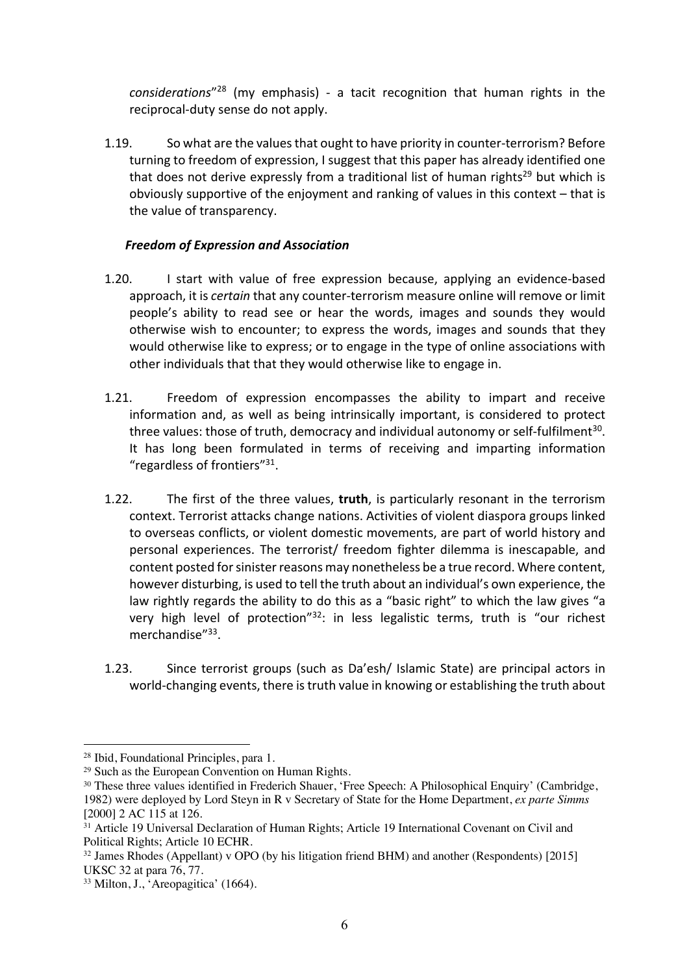*considerations*"28 (my emphasis) - a tacit recognition that human rights in the reciprocal-duty sense do not apply.

1.19. So what are the valuesthat ought to have priority in counter-terrorism? Before turning to freedom of expression, I suggest that this paper has already identified one that does not derive expressly from a traditional list of human rights<sup>29</sup> but which is obviously supportive of the enjoyment and ranking of values in this context – that is the value of transparency.

## *Freedom of Expression and Association*

- 1.20. I start with value of free expression because, applying an evidence-based approach, it is *certain* that any counter-terrorism measure online will remove or limit people's ability to read see or hear the words, images and sounds they would otherwise wish to encounter; to express the words, images and sounds that they would otherwise like to express; or to engage in the type of online associations with other individuals that that they would otherwise like to engage in.
- 1.21. Freedom of expression encompasses the ability to impart and receive information and, as well as being intrinsically important, is considered to protect three values: those of truth, democracy and individual autonomy or self-fulfilment<sup>30</sup>. It has long been formulated in terms of receiving and imparting information "regardless of frontiers"31.
- 1.22. The first of the three values, **truth**, is particularly resonant in the terrorism context. Terrorist attacks change nations. Activities of violent diaspora groups linked to overseas conflicts, or violent domestic movements, are part of world history and personal experiences. The terrorist/ freedom fighter dilemma is inescapable, and content posted for sinister reasons may nonetheless be a true record. Where content, however disturbing, is used to tell the truth about an individual's own experience, the law rightly regards the ability to do this as a "basic right" to which the law gives "a very high level of protection"32: in less legalistic terms, truth is "our richest merchandise"<sup>33</sup>.
- 1.23. Since terrorist groups (such as Da'esh/ Islamic State) are principal actors in world-changing events, there is truth value in knowing or establishing the truth about

<sup>&</sup>lt;sup>28</sup> Ibid, Foundational Principles, para 1.<br><sup>29</sup> Such as the European Convention on Human Rights.

<sup>&</sup>lt;sup>30</sup> These three values identified in Frederich Shauer, 'Free Speech: A Philosophical Enquiry' (Cambridge, 1982) were deployed by Lord Steyn in R v Secretary of State for the Home Department, *ex parte Simms*  [2000] 2 AC 115 at 126.

<sup>&</sup>lt;sup>31</sup> Article 19 Universal Declaration of Human Rights; Article 19 International Covenant on Civil and Political Rights; Article 10 ECHR.

<sup>32</sup> James Rhodes (Appellant) v OPO (by his litigation friend BHM) and another (Respondents) [2015] UKSC 32 at para 76, 77.

<sup>&</sup>lt;sup>33</sup> Milton, J., 'Areopagitica' (1664).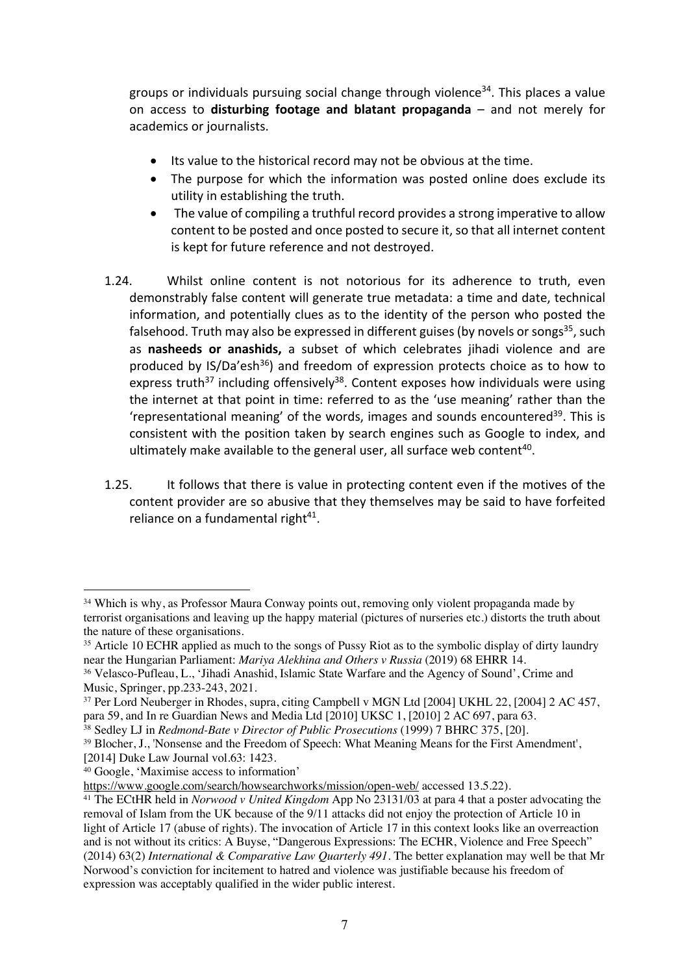groups or individuals pursuing social change through violence<sup>34</sup>. This places a value on access to **disturbing footage and blatant propaganda** – and not merely for academics or journalists.

- Its value to the historical record may not be obvious at the time.
- The purpose for which the information was posted online does exclude its utility in establishing the truth.
- The value of compiling a truthful record provides a strong imperative to allow content to be posted and once posted to secure it, so that all internet content is kept for future reference and not destroyed.
- 1.24. Whilst online content is not notorious for its adherence to truth, even demonstrably false content will generate true metadata: a time and date, technical information, and potentially clues as to the identity of the person who posted the falsehood. Truth may also be expressed in different guises (by novels or songs $35$ , such as **nasheeds or anashids,** a subset of which celebrates jihadi violence and are produced by  $IS/Da'esh^{36}$  and freedom of expression protects choice as to how to express truth<sup>37</sup> including offensively<sup>38</sup>. Content exposes how individuals were using the internet at that point in time: referred to as the 'use meaning' rather than the 'representational meaning' of the words, images and sounds encountered<sup>39</sup>. This is consistent with the position taken by search engines such as Google to index, and ultimately make available to the general user, all surface web content<sup>40</sup>.
- 1.25. It follows that there is value in protecting content even if the motives of the content provider are so abusive that they themselves may be said to have forfeited reliance on a fundamental right $41$ .

<sup>&</sup>lt;sup>34</sup> Which is why, as Professor Maura Conway points out, removing only violent propaganda made by terrorist organisations and leaving up the happy material (pictures of nurseries etc.) distorts the truth about the nature of these organisations.

<sup>&</sup>lt;sup>35</sup> Article 10 ECHR applied as much to the songs of Pussy Riot as to the symbolic display of dirty laundry near the Hungarian Parliament: *Mariya Alekhina and Others v Russia* (2019) 68 EHRR 14.

<sup>&</sup>lt;sup>36</sup> Velasco-Pufleau, L., 'Jihadi Anashid, Islamic State Warfare and the Agency of Sound', Crime and Music, Springer, pp.233-243, 2021.

<sup>&</sup>lt;sup>37</sup> Per Lord Neuberger in Rhodes, supra, citing Campbell v MGN Ltd [2004] UKHL 22, [2004] 2 AC 457, para 59, and In re Guardian News and Media Ltd [2010] UKSC 1, [2010] 2 AC 697, para 63.

<sup>38</sup> Sedley LJ in *Redmond-Bate v Director of Public Prosecutions* (1999) 7 BHRC 375, [20].

<sup>39</sup> Blocher, J., 'Nonsense and the Freedom of Speech: What Meaning Means for the First Amendment', [2014] Duke Law Journal vol.63: 1423.

<sup>&</sup>lt;sup>40</sup> Google, 'Maximise access to information'<br>https://www.google.com/search/howsearchworks/mission/open-web/ accessed 13.5.22).

<sup>&</sup>lt;sup>41</sup> The ECtHR held in *Norwood v United Kingdom* App No 23131/03 at para 4 that a poster advocating the removal of Islam from the UK because of the 9/11 attacks did not enjoy the protection of Article 10 in light of Article 17 (abuse of rights). The invocation of Article 17 in this context looks like an overreaction and is not without its critics: A Buyse, "Dangerous Expressions: The ECHR, Violence and Free Speech" (2014) 63(2) *International & Comparative Law Quarterly 491.* The better explanation may well be that Mr Norwood's conviction for incitement to hatred and violence was justifiable because his freedom of expression was acceptably qualified in the wider public interest.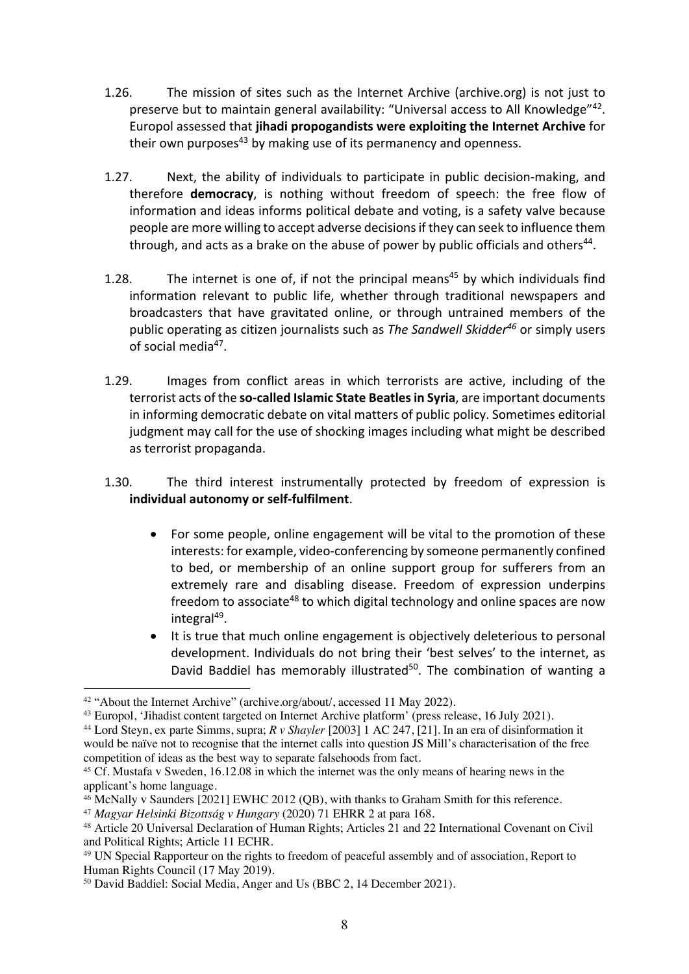- 1.26. The mission of sites such as the Internet Archive (archive.org) is not just to preserve but to maintain general availability: "Universal access to All Knowledge"42. Europol assessed that **jihadi propogandists were exploiting the Internet Archive** for their own purposes<sup>43</sup> by making use of its permanency and openness.
- 1.27. Next, the ability of individuals to participate in public decision-making, and therefore **democracy**, is nothing without freedom of speech: the free flow of information and ideas informs political debate and voting, is a safety valve because people are more willing to accept adverse decisions if they can seek to influence them through, and acts as a brake on the abuse of power by public officials and others<sup>44</sup>.
- 1.28. The internet is one of, if not the principal means<sup>45</sup> by which individuals find information relevant to public life, whether through traditional newspapers and broadcasters that have gravitated online, or through untrained members of the public operating as citizen journalists such as *The Sandwell Skidder46* or simply users of social media<sup>47</sup>.
- 1.29. Images from conflict areas in which terrorists are active, including of the terrorist acts of the **so-called Islamic State Beatlesin Syria**, are important documents in informing democratic debate on vital matters of public policy. Sometimes editorial judgment may call for the use of shocking images including what might be described as terrorist propaganda.
- 1.30. The third interest instrumentally protected by freedom of expression is **individual autonomy or self-fulfilment**.
	- For some people, online engagement will be vital to the promotion of these interests: for example, video-conferencing by someone permanently confined to bed, or membership of an online support group for sufferers from an extremely rare and disabling disease. Freedom of expression underpins freedom to associate<sup>48</sup> to which digital technology and online spaces are now integral<sup>49</sup>.
	- It is true that much online engagement is objectively deleterious to personal development. Individuals do not bring their 'best selves' to the internet, as David Baddiel has memorably illustrated<sup>50</sup>. The combination of wanting a

<sup>&</sup>lt;sup>42</sup> "About the Internet Archive" (archive.org/about/, accessed 11 May 2022).<br><sup>43</sup> Europol, 'Jihadist content targeted on Internet Archive platform' (press release, 16 July 2021).

<sup>44</sup> Lord Steyn, ex parte Simms, supra; *R v Shayler* [2003] 1 AC 247, [21]. In an era of disinformation it would be naïve not to recognise that the internet calls into question JS Mill's characterisation of the free competition of ideas as the best way to separate falsehoods from fact.

<sup>45</sup> Cf. Mustafa v Sweden, 16.12.08 in which the internet was the only means of hearing news in the applicant's home language.

<sup>46</sup> McNally v Saunders [2021] EWHC 2012 (QB), with thanks to Graham Smith for this reference. 47 *Magyar Helsinki Bizottság v Hungary* (2020) 71 EHRR 2 at para 168.

<sup>48</sup> Article 20 Universal Declaration of Human Rights; Articles 21 and 22 International Covenant on Civil and Political Rights; Article 11 ECHR.

<sup>&</sup>lt;sup>49</sup> UN Special Rapporteur on the rights to freedom of peaceful assembly and of association, Report to Human Rights Council (17 May 2019).

<sup>50</sup> David Baddiel: Social Media, Anger and Us (BBC 2, 14 December 2021).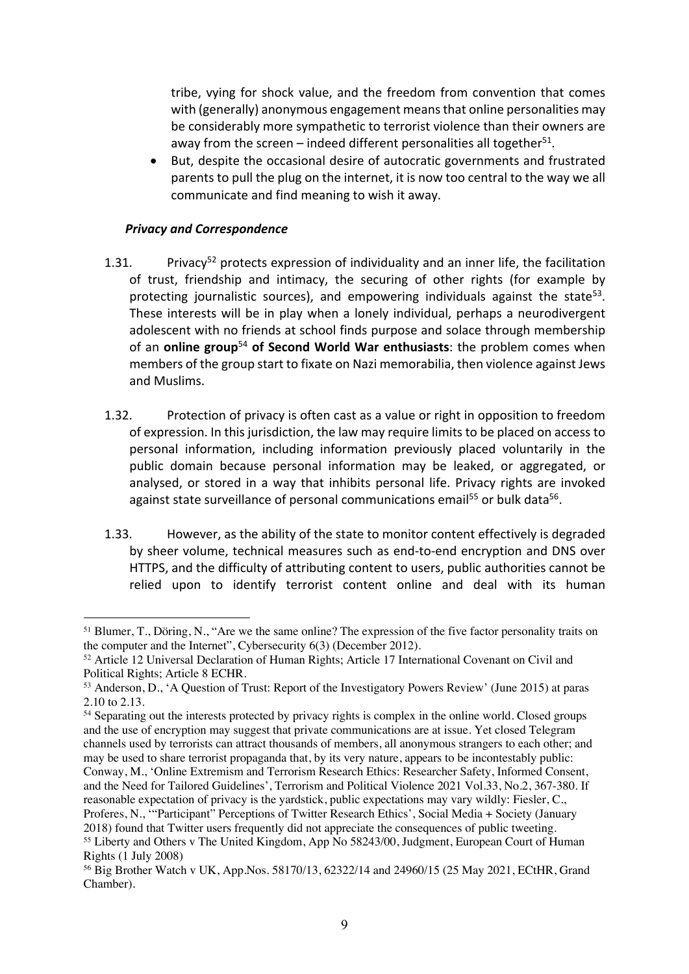tribe, vying for shock value, and the freedom from convention that comes with (generally) anonymous engagement means that online personalities may be considerably more sympathetic to terrorist violence than their owners are away from the screen – indeed different personalities all together<sup>51</sup>.

• But, despite the occasional desire of autocratic governments and frustrated parents to pull the plug on the internet, it is now too central to the way we all communicate and find meaning to wish it away.

#### *Privacy and Correspondence*

- 1.31. Privacy<sup>52</sup> protects expression of individuality and an inner life, the facilitation of trust, friendship and intimacy, the securing of other rights (for example by protecting journalistic sources), and empowering individuals against the state<sup>53</sup>. These interests will be in play when a lonely individual, perhaps a neurodivergent adolescent with no friends at school finds purpose and solace through membership of an **online group**<sup>54</sup> **of Second World War enthusiasts**: the problem comes when members of the group start to fixate on Nazi memorabilia, then violence against Jews and Muslims.
- 1.32. Protection of privacy is often cast as a value or right in opposition to freedom of expression. In this jurisdiction, the law may require limits to be placed on access to personal information, including information previously placed voluntarily in the public domain because personal information may be leaked, or aggregated, or analysed, or stored in a way that inhibits personal life. Privacy rights are invoked against state surveillance of personal communications email<sup>55</sup> or bulk data<sup>56</sup>.
- 1.33. However, as the ability of the state to monitor content effectively is degraded by sheer volume, technical measures such as end-to-end encryption and DNS over HTTPS, and the difficulty of attributing content to users, public authorities cannot be relied upon to identify terrorist content online and deal with its human

<sup>&</sup>lt;sup>51</sup> Blumer, T., Döring, N., "Are we the same online? The expression of the five factor personality traits on the computer and the Internet", Cybersecurity 6(3) (December 2012).

<sup>52</sup> Article 12 Universal Declaration of Human Rights; Article 17 International Covenant on Civil and Political Rights; Article 8 ECHR.

<sup>53</sup> Anderson, D., 'A Question of Trust: Report of the Investigatory Powers Review' (June 2015) at paras 2.10 to 2.13.

<sup>&</sup>lt;sup>54</sup> Separating out the interests protected by privacy rights is complex in the online world. Closed groups and the use of encryption may suggest that private communications are at issue. Yet closed Telegram channels used by terrorists can attract thousands of members, all anonymous strangers to each other; and may be used to share terrorist propaganda that, by its very nature, appears to be incontestably public: Conway, M., 'Online Extremism and Terrorism Research Ethics: Researcher Safety, Informed Consent, and the Need for Tailored Guidelines', Terrorism and Political Violence 2021 Vol.33, No.2, 367-380. If reasonable expectation of privacy is the yardstick, public expectations may vary wildly: Fiesler, C., Proferes, N., '"Participant" Perceptions of Twitter Research Ethics', Social Media + Society (January 2018) found that Twitter users frequently did not appreciate the consequences of public tweeting. <sup>55</sup> Liberty and Others v The United Kingdom, App No 58243/00, Judgment, European Court of Human Rights (1 July 2008)

<sup>56</sup> Big Brother Watch v UK, App.Nos. 58170/13, 62322/14 and 24960/15 (25 May 2021, ECtHR, Grand Chamber).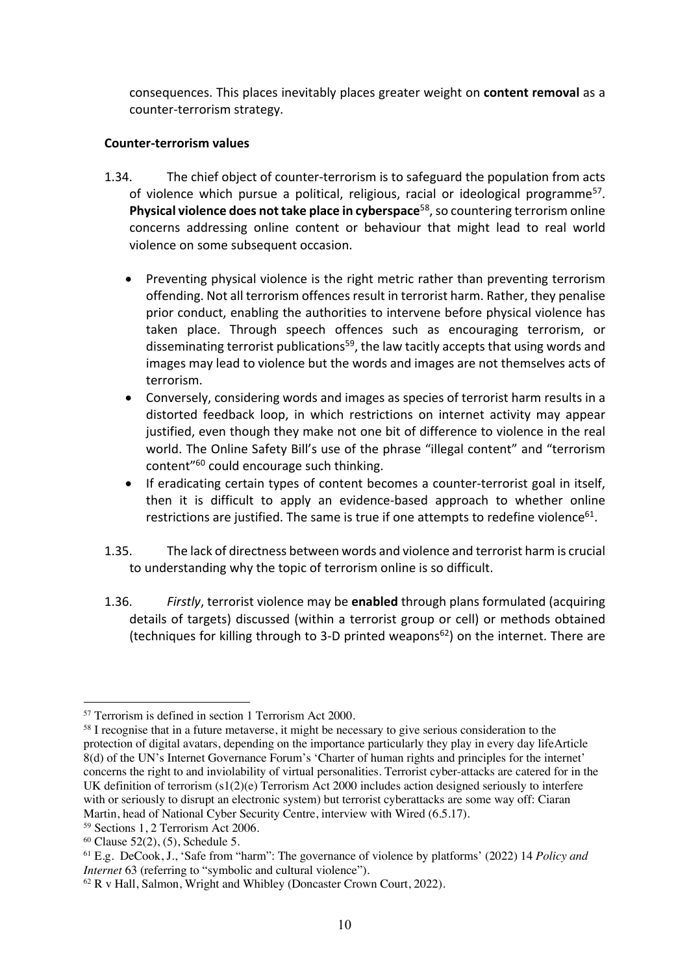consequences. This places inevitably places greater weight on **content removal** as a counter-terrorism strategy.

## **Counter-terrorism values**

- 1.34. The chief object of counter-terrorism is to safeguard the population from acts of violence which pursue a political, religious, racial or ideological programme<sup>57</sup>. **Physical violence does not take place in cyberspace<sup>58</sup>, so countering terrorism online** concerns addressing online content or behaviour that might lead to real world violence on some subsequent occasion.
	- Preventing physical violence is the right metric rather than preventing terrorism offending. Not all terrorism offences result in terrorist harm. Rather, they penalise prior conduct, enabling the authorities to intervene before physical violence has taken place. Through speech offences such as encouraging terrorism, or disseminating terrorist publications<sup>59</sup>, the law tacitly accepts that using words and images may lead to violence but the words and images are not themselves acts of terrorism.
	- Conversely, considering words and images as species of terrorist harm results in a distorted feedback loop, in which restrictions on internet activity may appear justified, even though they make not one bit of difference to violence in the real world. The Online Safety Bill's use of the phrase "illegal content" and "terrorism content"60 could encourage such thinking.
	- If eradicating certain types of content becomes a counter-terrorist goal in itself, then it is difficult to apply an evidence-based approach to whether online restrictions are justified. The same is true if one attempts to redefine violence $61$ .
- 1.35. The lack of directness between words and violence and terrorist harm is crucial to understanding why the topic of terrorism online is so difficult.
- 1.36. *Firstly*, terrorist violence may be **enabled** through plans formulated (acquiring details of targets) discussed (within a terrorist group or cell) or methods obtained (techniques for killing through to 3-D printed weapons $62$ ) on the internet. There are

<sup>57</sup> Terrorism is defined in section 1 Terrorism Act 2000.

<sup>&</sup>lt;sup>58</sup> I recognise that in a future metaverse, it might be necessary to give serious consideration to the protection of digital avatars, depending on the importance particularly they play in every day lifeArticle 8(d) of the UN's Internet Governance Forum's 'Charter of human rights and principles for the internet' concerns the right to and inviolability of virtual personalities. Terrorist cyber-attacks are catered for in the UK definition of terrorism (s1(2)(e) Terrorism Act 2000 includes action designed seriously to interfere with or seriously to disrupt an electronic system) but terrorist cyberattacks are some way off: Ciaran Martin, head of National Cyber Security Centre, interview with Wired (6.5.17).<br><sup>59</sup> Sections 1, 2 Terrorism Act 2006.

 $60$  Clause 52(2), (5), Schedule 5.

<sup>61</sup> E.g. DeCook, J., 'Safe from "harm": The governance of violence by platforms' (2022) 14 *Policy and* 

<sup>&</sup>lt;sup>62</sup> R v Hall, Salmon, Wright and Whibley (Doncaster Crown Court, 2022).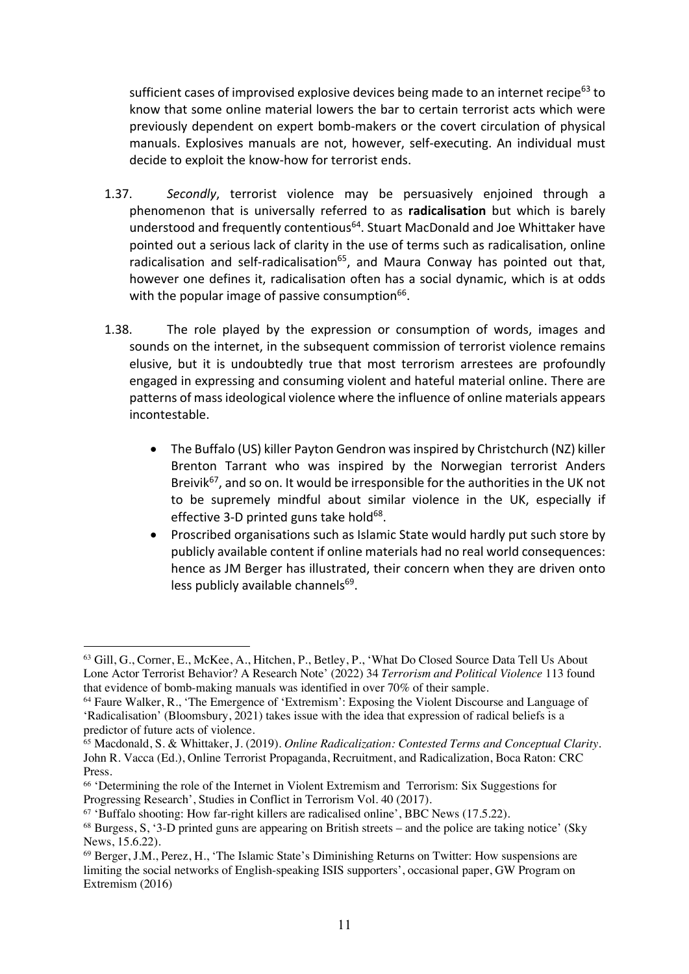sufficient cases of improvised explosive devices being made to an internet recipe<sup>63</sup> to know that some online material lowers the bar to certain terrorist acts which were previously dependent on expert bomb-makers or the covert circulation of physical manuals. Explosives manuals are not, however, self-executing. An individual must decide to exploit the know-how for terrorist ends.

- 1.37. *Secondly*, terrorist violence may be persuasively enjoined through a phenomenon that is universally referred to as **radicalisation** but which is barely understood and frequently contentious<sup>64</sup>. Stuart MacDonald and Joe Whittaker have pointed out a serious lack of clarity in the use of terms such as radicalisation, online radicalisation and self-radicalisation $^{65}$ , and Maura Conway has pointed out that, however one defines it, radicalisation often has a social dynamic, which is at odds with the popular image of passive consumption $66$ .
- 1.38. The role played by the expression or consumption of words, images and sounds on the internet, in the subsequent commission of terrorist violence remains elusive, but it is undoubtedly true that most terrorism arrestees are profoundly engaged in expressing and consuming violent and hateful material online. There are patterns of mass ideological violence where the influence of online materials appears incontestable.
	- The Buffalo (US) killer Payton Gendron was inspired by Christchurch (NZ) killer Brenton Tarrant who was inspired by the Norwegian terrorist Anders Breivik<sup>67</sup>, and so on. It would be irresponsible for the authorities in the UK not to be supremely mindful about similar violence in the UK, especially if effective 3-D printed guns take hold $68$ .
	- Proscribed organisations such as Islamic State would hardly put such store by publicly available content if online materials had no real world consequences: hence as JM Berger has illustrated, their concern when they are driven onto less publicly available channels $69$ .

<sup>63</sup> Gill, G., Corner, E., McKee, A., Hitchen, P., Betley, P., 'What Do Closed Source Data Tell Us About Lone Actor Terrorist Behavior? A Research Note' (2022) 34 *Terrorism and Political Violence* 113 found that evidence of bomb-making manuals was identified in over 70% of their sample.

<sup>64</sup> Faure Walker, R., 'The Emergence of 'Extremism': Exposing the Violent Discourse and Language of 'Radicalisation' (Bloomsbury, 2021) takes issue with the idea that expression of radical beliefs is a predictor of future acts of violence.

<sup>65</sup> Macdonald, S. & Whittaker, J. (2019). *Online Radicalization: Contested Terms and Conceptual Clarity.*  John R. Vacca (Ed.), Online Terrorist Propaganda, Recruitment, and Radicalization, Boca Raton: CRC Press.

<sup>&</sup>lt;sup>66</sup> 'Determining the role of the Internet in Violent Extremism and Terrorism: Six Suggestions for Progressing Research', Studies in Conflict in Terrorism Vol. 40 (2017).

 $67$  'Buffalo shooting: How far-right killers are radicalised online', BBC News (17.5.22).

<sup>68</sup> Burgess, S, '3-D printed guns are appearing on British streets – and the police are taking notice' (Sky News, 15.6.22).

<sup>69</sup> Berger, J.M., Perez, H., 'The Islamic State's Diminishing Returns on Twitter: How suspensions are limiting the social networks of English-speaking ISIS supporters', occasional paper, GW Program on Extremism (2016)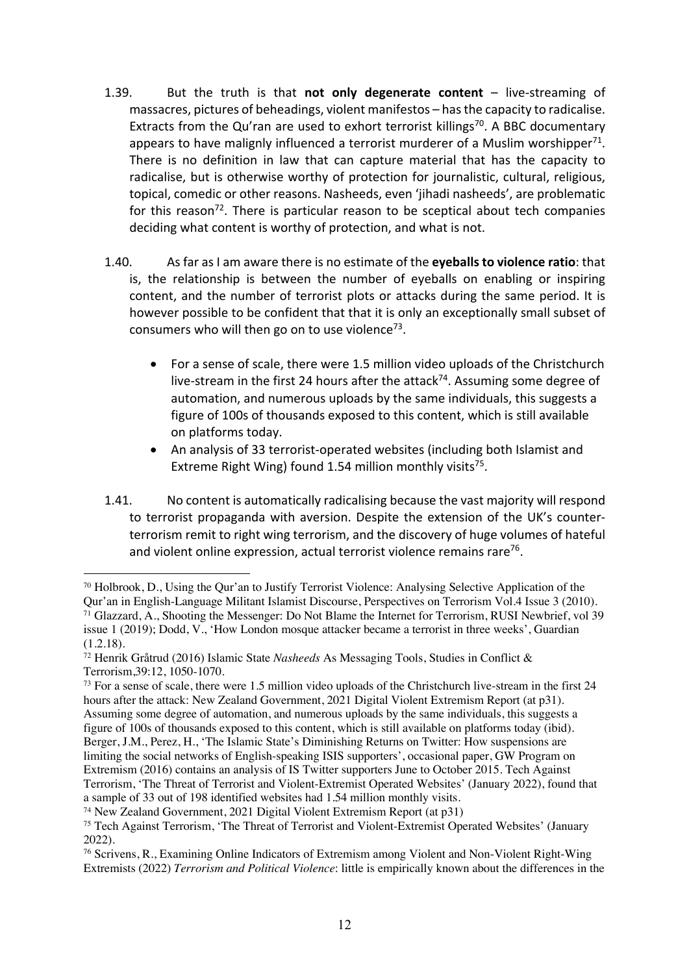- 1.39. But the truth is that **not only degenerate content** live-streaming of massacres, pictures of beheadings, violent manifestos – has the capacity to radicalise. Extracts from the Qu'ran are used to exhort terrorist killings<sup>70</sup>. A BBC documentary appears to have malignly influenced a terrorist murderer of a Muslim worshipper<sup>71</sup>. There is no definition in law that can capture material that has the capacity to radicalise, but is otherwise worthy of protection for journalistic, cultural, religious, topical, comedic or other reasons. Nasheeds, even 'jihadi nasheeds', are problematic for this reason<sup>72</sup>. There is particular reason to be sceptical about tech companies deciding what content is worthy of protection, and what is not.
- 1.40. As far as I am aware there is no estimate of the **eyeballs to violence ratio**: that is, the relationship is between the number of eyeballs on enabling or inspiring content, and the number of terrorist plots or attacks during the same period. It is however possible to be confident that that it is only an exceptionally small subset of consumers who will then go on to use violence<sup>73</sup>.
	- For a sense of scale, there were 1.5 million video uploads of the Christchurch live-stream in the first 24 hours after the attack<sup>74</sup>. Assuming some degree of automation, and numerous uploads by the same individuals, this suggests a figure of 100s of thousands exposed to this content, which is still available on platforms today.
	- An analysis of 33 terrorist-operated websites (including both Islamist and Extreme Right Wing) found 1.54 million monthly visits<sup>75</sup>.
- 1.41. No content is automatically radicalising because the vast majority will respond to terrorist propaganda with aversion. Despite the extension of the UK's counterterrorism remit to right wing terrorism, and the discovery of huge volumes of hateful and violent online expression, actual terrorist violence remains rare<sup>76</sup>.

<sup>70</sup> Holbrook, D., Using the Qur'an to Justify Terrorist Violence: Analysing Selective Application of the Qur'an in English-Language Militant Islamist Discourse, Perspectives on Terrorism Vol.4 Issue 3 (2010). <sup>71</sup> Glazzard, A., Shooting the Messenger: Do Not Blame the Internet for Terrorism, RUSI Newbrief, vol 39 issue 1 (2019); Dodd, V., 'How London mosque attacker became a terrorist in three weeks', Guardian  $(1.2.18).$ 

<sup>72</sup> Henrik Gråtrud (2016) Islamic State *Nasheeds* As Messaging Tools, Studies in Conflict & Terrorism,39:12, 1050-1070.

<sup>73</sup> For a sense of scale, there were 1.5 million video uploads of the Christchurch live-stream in the first 24 hours after the attack: New Zealand Government, 2021 Digital Violent Extremism Report (at p31). Assuming some degree of automation, and numerous uploads by the same individuals, this suggests a figure of 100s of thousands exposed to this content, which is still available on platforms today (ibid). Berger, J.M., Perez, H., 'The Islamic State's Diminishing Returns on Twitter: How suspensions are limiting the social networks of English-speaking ISIS supporters', occasional paper, GW Program on Extremism (2016) contains an analysis of IS Twitter supporters June to October 2015. Tech Against Terrorism, 'The Threat of Terrorist and Violent-Extremist Operated Websites' (January 2022), found that a sample of 33 out of 198 identified websites had 1.54 million monthly visits.

<sup>74</sup> New Zealand Government, 2021 Digital Violent Extremism Report (at p31)

<sup>&</sup>lt;sup>75</sup> Tech Against Terrorism, 'The Threat of Terrorist and Violent-Extremist Operated Websites' (January 2022).

<sup>76</sup> Scrivens, R., Examining Online Indicators of Extremism among Violent and Non-Violent Right-Wing Extremists (2022) *Terrorism and Political Violence*: little is empirically known about the differences in the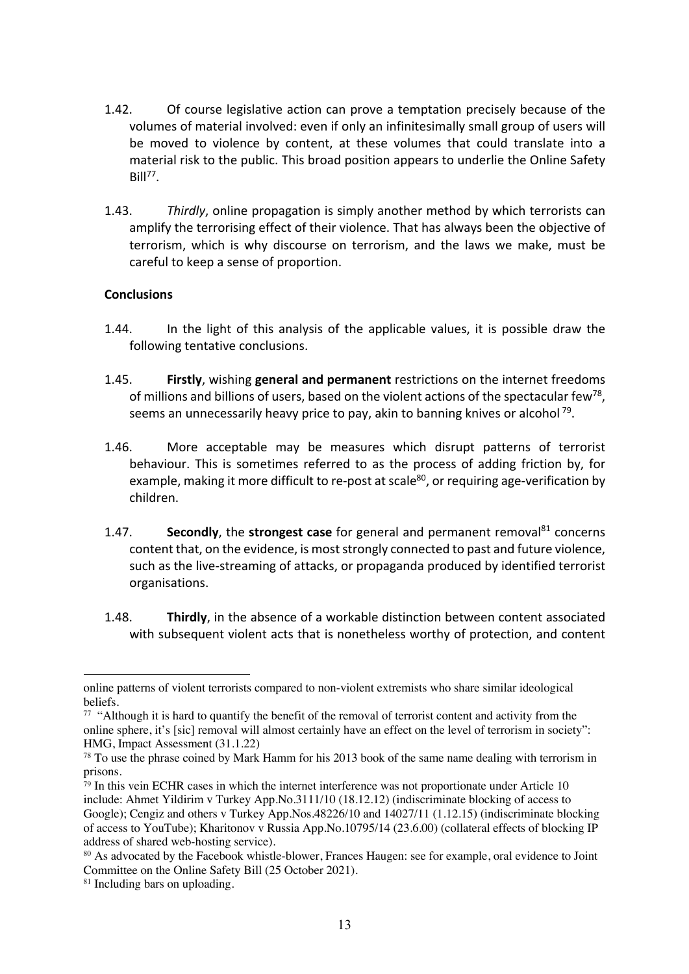- 1.42. Of course legislative action can prove a temptation precisely because of the volumes of material involved: even if only an infinitesimally small group of users will be moved to violence by content, at these volumes that could translate into a material risk to the public. This broad position appears to underlie the Online Safety  $Rill^{77}$ .
- 1.43. *Thirdly*, online propagation is simply another method by which terrorists can amplify the terrorising effect of their violence. That has always been the objective of terrorism, which is why discourse on terrorism, and the laws we make, must be careful to keep a sense of proportion.

## **Conclusions**

- 1.44. In the light of this analysis of the applicable values, it is possible draw the following tentative conclusions.
- 1.45. **Firstly**, wishing **general and permanent** restrictions on the internet freedoms of millions and billions of users, based on the violent actions of the spectacular few<sup>78</sup>, seems an unnecessarily heavy price to pay, akin to banning knives or alcohol  $^{79}$ .
- 1.46. More acceptable may be measures which disrupt patterns of terrorist behaviour. This is sometimes referred to as the process of adding friction by, for example, making it more difficult to re-post at scale<sup>80</sup>, or requiring age-verification by children.
- 1.47. **Secondly**, the **strongest case** for general and permanent removal<sup>81</sup> concerns content that, on the evidence, is most strongly connected to past and future violence, such as the live-streaming of attacks, or propaganda produced by identified terrorist organisations.
- 1.48. **Thirdly**, in the absence of a workable distinction between content associated with subsequent violent acts that is nonetheless worthy of protection, and content

online patterns of violent terrorists compared to non-violent extremists who share similar ideological beliefs.

<sup>&</sup>lt;sup>77</sup> "Although it is hard to quantify the benefit of the removal of terrorist content and activity from the online sphere, it's [sic] removal will almost certainly have an effect on the level of terrorism in society": HMG, Impact Assessment (31.1.22)

<sup>&</sup>lt;sup>78</sup> To use the phrase coined by Mark Hamm for his 2013 book of the same name dealing with terrorism in prisons.

<sup>79</sup> In this vein ECHR cases in which the internet interference was not proportionate under Article 10 include: Ahmet Yildirim v Turkey App.No.3111/10 (18.12.12) (indiscriminate blocking of access to Google); Cengiz and others v Turkey App.Nos.48226/10 and 14027/11 (1.12.15) (indiscriminate blocking of access to YouTube); Kharitonov v Russia App.No.10795/14 (23.6.00) (collateral effects of blocking IP

<sup>&</sup>lt;sup>80</sup> As advocated by the Facebook whistle-blower, Frances Haugen: see for example, oral evidence to Joint Committee on the Online Safety Bill (25 October 2021).

<sup>&</sup>lt;sup>81</sup> Including bars on uploading.